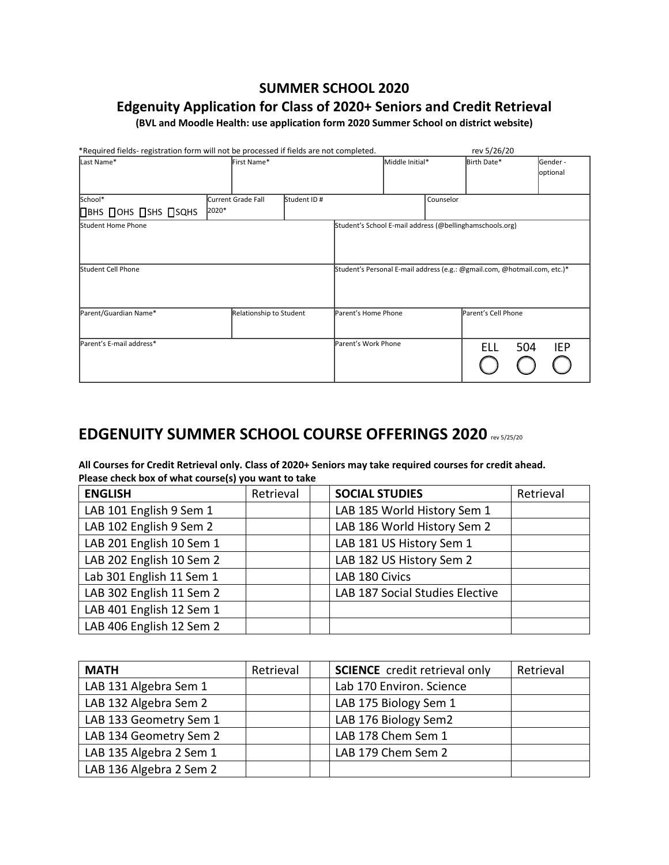### **SUMMER SCHOOL 2020**

### **Edgenuity Application for Class of 2020+ Seniors and Credit Retrieval**

**(BVL and Moodle Health: use application form 2020 Summer School on district website)** 

| *Required fields-registration form will not be processed if fields are not completed. |                    |                         |                                                                           | rev 5/26/20         |           |                     |     |                      |
|---------------------------------------------------------------------------------------|--------------------|-------------------------|---------------------------------------------------------------------------|---------------------|-----------|---------------------|-----|----------------------|
| Last Name*                                                                            | First Name*        |                         |                                                                           | Middle Initial*     |           | Birth Date*         |     | Gender -<br>optional |
| School*                                                                               | Current Grade Fall | Student ID #            |                                                                           |                     | Counselor |                     |     |                      |
| $\Box$ BHS $\Box$ OHS $\Box$ SHS $\Box$ SQHS                                          | 2020*              |                         |                                                                           |                     |           |                     |     |                      |
| <b>Student Home Phone</b>                                                             |                    |                         | Student's School E-mail address (@bellinghamschools.org)                  |                     |           |                     |     |                      |
| Student Cell Phone                                                                    |                    |                         | Student's Personal E-mail address (e.g.: @gmail.com, @hotmail.com, etc.)* |                     |           |                     |     |                      |
| Parent/Guardian Name*                                                                 |                    | Relationship to Student |                                                                           | Parent's Home Phone |           | Parent's Cell Phone |     |                      |
| Parent's E-mail address*                                                              |                    |                         | Parent's Work Phone                                                       |                     |           | ELL.                | 504 | <b>IEP</b>           |

## **EDGENUITY SUMMER SCHOOL COURSE OFFERINGS 2020** rev 5/25/20

#### **All Courses for Credit Retrieval only. Class of 2020+ Seniors may take required courses for credit ahead. Please check box of what course(s) you want to take**

| <b>ENGLISH</b>           | Retrieval | <b>SOCIAL STUDIES</b>           | Retrieval |
|--------------------------|-----------|---------------------------------|-----------|
| LAB 101 English 9 Sem 1  |           | LAB 185 World History Sem 1     |           |
| LAB 102 English 9 Sem 2  |           | LAB 186 World History Sem 2     |           |
| LAB 201 English 10 Sem 1 |           | LAB 181 US History Sem 1        |           |
| LAB 202 English 10 Sem 2 |           | LAB 182 US History Sem 2        |           |
| Lab 301 English 11 Sem 1 |           | LAB 180 Civics                  |           |
| LAB 302 English 11 Sem 2 |           | LAB 187 Social Studies Elective |           |
| LAB 401 English 12 Sem 1 |           |                                 |           |
| LAB 406 English 12 Sem 2 |           |                                 |           |

| <b>MATH</b>             | Retrieval | <b>SCIENCE</b> credit retrieval only | Retrieval |
|-------------------------|-----------|--------------------------------------|-----------|
| LAB 131 Algebra Sem 1   |           | Lab 170 Environ. Science             |           |
| LAB 132 Algebra Sem 2   |           | LAB 175 Biology Sem 1                |           |
| LAB 133 Geometry Sem 1  |           | LAB 176 Biology Sem2                 |           |
| LAB 134 Geometry Sem 2  |           | LAB 178 Chem Sem 1                   |           |
| LAB 135 Algebra 2 Sem 1 |           | LAB 179 Chem Sem 2                   |           |
| LAB 136 Algebra 2 Sem 2 |           |                                      |           |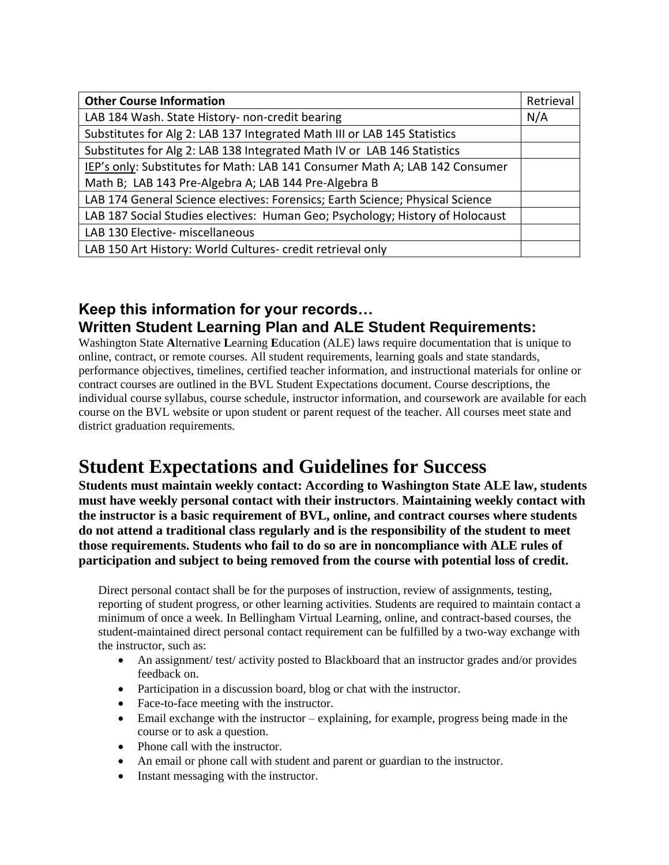| <b>Other Course Information</b>                                               |     |  |
|-------------------------------------------------------------------------------|-----|--|
| LAB 184 Wash. State History- non-credit bearing                               | N/A |  |
| Substitutes for Alg 2: LAB 137 Integrated Math III or LAB 145 Statistics      |     |  |
| Substitutes for Alg 2: LAB 138 Integrated Math IV or LAB 146 Statistics       |     |  |
| IEP's only: Substitutes for Math: LAB 141 Consumer Math A; LAB 142 Consumer   |     |  |
| Math B; LAB 143 Pre-Algebra A; LAB 144 Pre-Algebra B                          |     |  |
| LAB 174 General Science electives: Forensics; Earth Science; Physical Science |     |  |
| LAB 187 Social Studies electives: Human Geo; Psychology; History of Holocaust |     |  |
| LAB 130 Elective- miscellaneous                                               |     |  |
| LAB 150 Art History: World Cultures- credit retrieval only                    |     |  |

## **Keep this information for your records… Written Student Learning Plan and ALE Student Requirements:**

Washington State **A**lternative **L**earning **E**ducation (ALE) laws require documentation that is unique to online, contract, or remote courses. All student requirements, learning goals and state standards, performance objectives, timelines, certified teacher information, and instructional materials for online or contract courses are outlined in the BVL Student Expectations document. Course descriptions, the individual course syllabus, course schedule, instructor information, and coursework are available for each course on the BVL website or upon student or parent request of the teacher. All courses meet state and district graduation requirements.

# **Student Expectations and Guidelines for Success**

**Students must maintain weekly contact: According to Washington State ALE law, students must have weekly personal contact with their instructors**. **Maintaining weekly contact with the instructor is a basic requirement of BVL, online, and contract courses where students do not attend a traditional class regularly and is the responsibility of the student to meet those requirements. Students who fail to do so are in noncompliance with ALE rules of participation and subject to being removed from the course with potential loss of credit.**

Direct personal contact shall be for the purposes of instruction, review of assignments, testing, reporting of student progress, or other learning activities. Students are required to maintain contact a minimum of once a week. In Bellingham Virtual Learning, online, and contract-based courses, the student-maintained direct personal contact requirement can be fulfilled by a two-way exchange with the instructor, such as:

- An assignment/ test/ activity posted to Blackboard that an instructor grades and/or provides feedback on.
- Participation in a discussion board, blog or chat with the instructor.
- Face-to-face meeting with the instructor.
- Email exchange with the instructor explaining, for example, progress being made in the course or to ask a question.
- Phone call with the instructor.
- An email or phone call with student and parent or guardian to the instructor.
- Instant messaging with the instructor.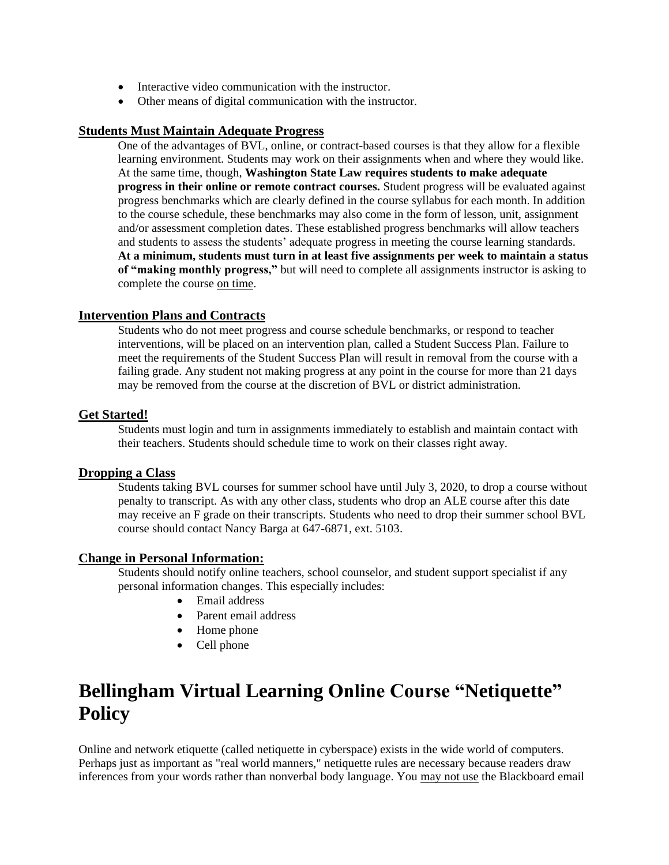- Interactive video communication with the instructor.
- Other means of digital communication with the instructor.

#### **Students Must Maintain Adequate Progress**

One of the advantages of BVL, online, or contract-based courses is that they allow for a flexible learning environment. Students may work on their assignments when and where they would like. At the same time, though, **Washington State Law requires students to make adequate progress in their online or remote contract courses.** Student progress will be evaluated against progress benchmarks which are clearly defined in the course syllabus for each month. In addition to the course schedule, these benchmarks may also come in the form of lesson, unit, assignment and/or assessment completion dates. These established progress benchmarks will allow teachers and students to assess the students' adequate progress in meeting the course learning standards. **At a minimum, students must turn in at least five assignments per week to maintain a status of "making monthly progress,"** but will need to complete all assignments instructor is asking to complete the course on time.

#### **Intervention Plans and Contracts**

Students who do not meet progress and course schedule benchmarks, or respond to teacher interventions, will be placed on an intervention plan, called a Student Success Plan. Failure to meet the requirements of the Student Success Plan will result in removal from the course with a failing grade. Any student not making progress at any point in the course for more than 21 days may be removed from the course at the discretion of BVL or district administration.

#### **Get Started!**

Students must login and turn in assignments immediately to establish and maintain contact with their teachers. Students should schedule time to work on their classes right away.

#### **Dropping a Class**

Students taking BVL courses for summer school have until July 3, 2020, to drop a course without penalty to transcript. As with any other class, students who drop an ALE course after this date may receive an F grade on their transcripts. Students who need to drop their summer school BVL course should contact Nancy Barga at 647-6871, ext. 5103.

#### **Change in Personal Information:**

Students should notify online teachers, school counselor, and student support specialist if any personal information changes. This especially includes:

- Email address
- Parent email address
- Home phone
- Cell phone

# **Bellingham Virtual Learning Online Course "Netiquette" Policy**

Online and network etiquette (called netiquette in cyberspace) exists in the wide world of computers. Perhaps just as important as "real world manners," netiquette rules are necessary because readers draw inferences from your words rather than nonverbal body language. You may not use the Blackboard email